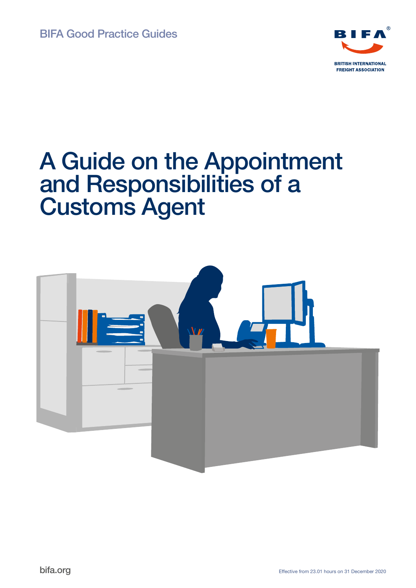

# A Guide on the Appointment and Responsibilities of a Customs Agent

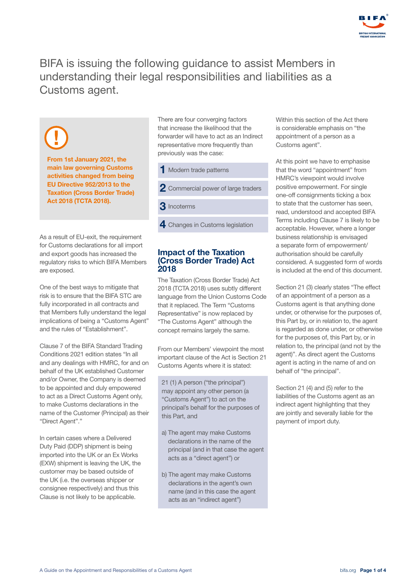

## BIFA is issuing the following guidance to assist Members in understanding their legal responsibilities and liabilities as a Customs agent.

From 1st January 2021, the main law governing Customs activities changed from being EU Directive 952/2013 to the Taxation (Cross Border Trade) Act 2018 (TCTA 2018).

As a result of EU-exit, the requirement for Customs declarations for all import and export goods has increased the regulatory risks to which BIFA Members are exposed.

One of the best ways to mitigate that risk is to ensure that the BIFA STC are fully incorporated in all contracts and that Members fully understand the legal implications of being a "Customs Agent" and the rules of "Establishment".

Clause 7 of the BIFA Standard Trading Conditions 2021 edition states "In all and any dealings with HMRC, for and on behalf of the UK established Customer and/or Owner, the Company is deemed to be appointed and duly empowered to act as a Direct Customs Agent only, to make Customs declarations in the name of the Customer (Principal) as their "Direct Agent"."

In certain cases where a Delivered Duty Paid (DDP) shipment is being imported into the UK or an Ex Works (EXW) shipment is leaving the UK, the customer may be based outside of the UK (i.e. the overseas shipper or consignee respectively) and thus this Clause is not likely to be applicable.

There are four converging factors that increase the likelihood that the forwarder will have to act as an Indirect representative more frequently than previously was the case:

- 1 Modern trade patterns
- 2 Commercial power of large traders
- 3 Incoterms
- 4 Changes in Customs legislation

#### Impact of the Taxation (Cross Border Trade) Act 2018

The Taxation (Cross Border Trade) Act 2018 (TCTA 2018) uses subtly different language from the Union Customs Code that it replaced. The Term "Customs Representative" is now replaced by "The Customs Agent" although the concept remains largely the same.

From our Members' viewpoint the most important clause of the Act is Section 21 Customs Agents where it is stated:

21 (1) A person ("the principal") may appoint any other person (a "Customs Agent") to act on the principal's behalf for the purposes of this Part, and

- a) The agent may make Customs declarations in the name of the principal (and in that case the agent acts as a "direct agent") or
- b) The agent may make Customs declarations in the agent's own name (and in this case the agent acts as an "indirect agent")

Within this section of the Act there is considerable emphasis on "the appointment of a person as a Customs agent".

At this point we have to emphasise that the word "appointment" from HMRC's viewpoint would involve positive empowerment. For single one-off consignments ticking a box to state that the customer has seen, read, understood and accepted BIFA Terms including Clause 7 is likely to be acceptable. However, where a longer business relationship is envisaged a separate form of empowerment/ authorisation should be carefully considered. A suggested form of words is included at the end of this document.

Section 21 (3) clearly states "The effect of an appointment of a person as a Customs agent is that anything done under, or otherwise for the purposes of, this Part by, or in relation to, the agent is regarded as done under, or otherwise for the purposes of, this Part by, or in relation to, the principal (and not by the agent)". As direct agent the Customs agent is acting in the name of and on behalf of "the principal".

Section 21 (4) and (5) refer to the liabilities of the Customs agent as an indirect agent highlighting that they are jointly and severally liable for the payment of import duty.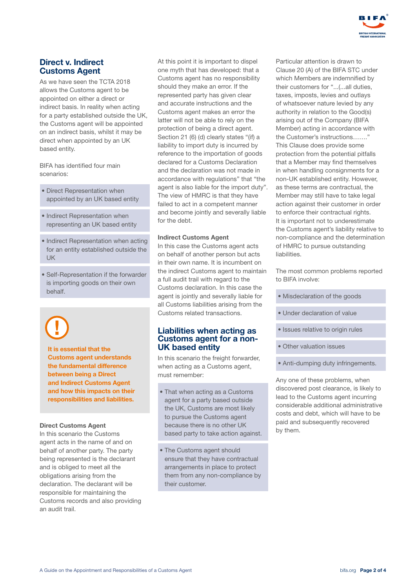

#### Direct v. Indirect Customs Agent

As we have seen the TCTA 2018 allows the Customs agent to be appointed on either a direct or indirect basis. In reality when acting for a party established outside the UK, the Customs agent will be appointed on an indirect basis, whilst it may be direct when appointed by an UK based entity.

BIFA has identified four main scenarios:

- Direct Representation when appointed by an UK based entity
- Indirect Representation when representing an UK based entity
- Indirect Representation when acting for an entity established outside the **I**IK
- Self-Representation if the forwarder is importing goods on their own behalf.

It is essential that the Customs agent understands the fundamental difference between being a Direct and Indirect Customs Agent and how this impacts on their responsibilities and liabilities.

#### Direct Customs Agent

In this scenario the Customs agent acts in the name of and on behalf of another party. The party being represented is the declarant and is obliged to meet all the obligations arising from the declaration. The declarant will be responsible for maintaining the Customs records and also providing an audit trail.

At this point it is important to dispel one myth that has developed: that a Customs agent has no responsibility should they make an error. If the represented party has given clear and accurate instructions and the Customs agent makes an error the latter will not be able to rely on the protection of being a direct agent. Section 21 (6) (d) clearly states "(if) a liability to import duty is incurred by reference to the importation of goods declared for a Customs Declaration and the declaration was not made in accordance with regulations" that "the agent is also liable for the import duty". The view of HMRC is that they have failed to act in a competent manner and become jointly and severally liable for the debt.

#### Indirect Customs Agent

In this case the Customs agent acts on behalf of another person but acts in their own name. It is incumbent on the indirect Customs agent to maintain a full audit trail with regard to the Customs declaration. In this case the agent is jointly and severally liable for all Customs liabilities arising from the Customs related transactions.

#### Liabilities when acting as Customs agent for a non-UK based entity

In this scenario the freight forwarder, when acting as a Customs agent, must remember:

- That when acting as a Customs agent for a party based outside the UK, Customs are most likely to pursue the Customs agent because there is no other UK based party to take action against.
- The Customs agent should ensure that they have contractual arrangements in place to protect them from any non-compliance by their customer.

Particular attention is drawn to Clause 20 (A) of the BIFA STC under which Members are indemnified by their customers for "...(...all duties, taxes, imposts, levies and outlays of whatsoever nature levied by any authority in relation to the Good(s) arising out of the Company (BIFA Member) acting in accordance with the Customer's instructions……." This Clause does provide some protection from the potential pitfalls that a Member may find themselves in when handling consignments for a non-UK established entity. However, as these terms are contractual, the Member may still have to take legal action against their customer in order to enforce their contractual rights. It is important not to underestimate the Customs agent's liability relative to non-compliance and the determination of HMRC to pursue outstanding liabilities.

The most common problems reported to BIFA involve:

- Misdeclaration of the goods
- Under declaration of value
- Issues relative to origin rules
- Other valuation issues
- Anti-dumping duty infringements.

Any one of these problems, when discovered post clearance, is likely to lead to the Customs agent incurring considerable additional administrative costs and debt, which will have to be paid and subsequently recovered by them.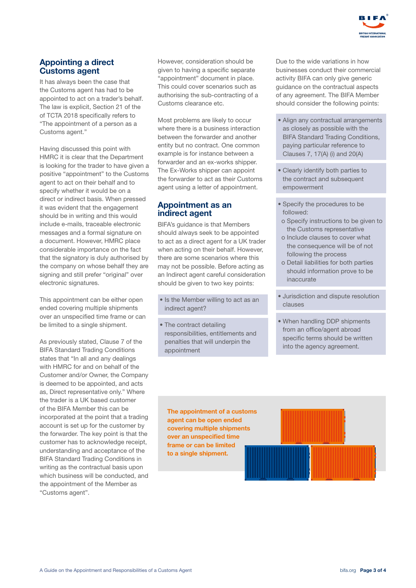

### Appointing a direct Customs agent

It has always been the case that the Customs agent has had to be appointed to act on a trader's behalf. The law is explicit, Section 21 of the of TCTA 2018 specifically refers to "The appointment of a person as a Customs agent."

Having discussed this point with HMRC it is clear that the Department is looking for the trader to have given a positive "appointment" to the Customs agent to act on their behalf and to specify whether it would be on a direct or indirect basis. When pressed it was evident that the engagement should be in writing and this would include e-mails, traceable electronic messages and a formal signature on a document. However, HMRC place considerable importance on the fact that the signatory is duly authorised by the company on whose behalf they are signing and still prefer "original" over electronic signatures.

This appointment can be either open ended covering multiple shipments over an unspecified time frame or can be limited to a single shipment.

As previously stated, Clause 7 of the BIFA Standard Trading Conditions states that "In all and any dealings with HMRC for and on behalf of the Customer and/or Owner, the Company is deemed to be appointed, and acts as, Direct representative only." Where the trader is a UK based customer of the BIFA Member this can be incorporated at the point that a trading account is set up for the customer by the forwarder. The key point is that the customer has to acknowledge receipt, understanding and acceptance of the BIFA Standard Trading Conditions in writing as the contractual basis upon which business will be conducted, and the appointment of the Member as "Customs agent".

However, consideration should be given to having a specific separate "appointment" document in place. This could cover scenarios such as authorising the sub-contracting of a Customs clearance etc.

Most problems are likely to occur where there is a business interaction between the forwarder and another entity but no contract. One common example is for instance between a forwarder and an ex-works shipper. The Ex-Works shipper can appoint the forwarder to act as their Customs agent using a letter of appointment.

#### Appointment as an indirect agent

BIFA's guidance is that Members should always seek to be appointed to act as a direct agent for a UK trader when acting on their behalf. However, there are some scenarios where this may not be possible. Before acting as an Indirect agent careful consideration should be given to two key points:

- Is the Member willing to act as an indirect agent?
- The contract detailing responsibilities, entitlements and penalties that will underpin the appointment

Due to the wide variations in how businesses conduct their commercial activity BIFA can only give generic guidance on the contractual aspects of any agreement. The BIFA Member should consider the following points:

- Align any contractual arrangements as closely as possible with the BIFA Standard Trading Conditions, paying particular reference to Clauses 7, 17(A) (i) and 20(A)
- Clearly identify both parties to the contract and subsequent empowerment
- Specify the procedures to be followed:
- o Specify instructions to be given to the Customs representative
- o Include clauses to cover what the consequence will be of not following the process
- o Detail liabilities for both parties should information prove to be inaccurate
- Jurisdiction and dispute resolution clauses
- When handling DDP shipments from an office/agent abroad specific terms should be written into the agency agreement.

The appointment of a customs agent can be open ended covering multiple shipments over an unspecified time frame or can be limited to a single shipment.

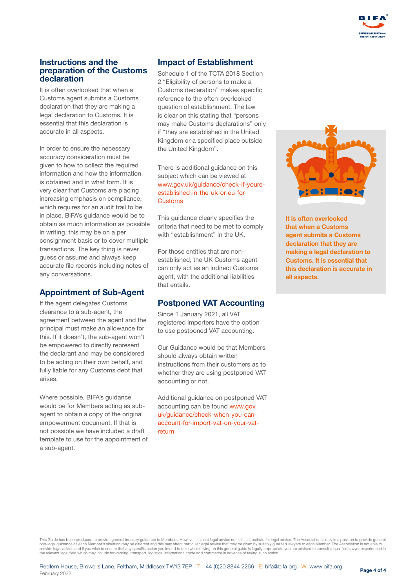#### Instructions and the preparation of the Customs declaration

It is often overlooked that when a Customs agent submits a Customs declaration that they are making a legal declaration to Customs. It is essential that this declaration is accurate in all aspects.

In order to ensure the necessary accuracy consideration must be given to how to collect the required information and how the information is obtained and in what form. It is very clear that Customs are placing increasing emphasis on compliance, which requires for an audit trail to be in place. BIFA's guidance would be to obtain as much information as possible in writing, this may be on a per consignment basis or to cover multiple transactions. The key thing is never guess or assume and always keep accurate file records including notes of any conversations.

#### Appointment of Sub-Agent

If the agent delegates Customs clearance to a sub-agent, the agreement between the agent and the principal must make an allowance for this. If it doesn't, the sub-agent won't be empowered to directly represent the declarant and may be considered to be acting on their own behalf, and fully liable for any Customs debt that arises.

Where possible, BIFA's guidance would be for Members acting as subagent to obtain a copy of the original empowerment document. If that is not possible we have included a draft template to use for the appointment of a sub-agent.

### Impact of Establishment

Schedule 1 of the TCTA 2018 Section 2 "Eligibility of persons to make a Customs declaration" makes specific reference to the often-overlooked question of establishment. The law is clear on this stating that "persons may make Customs declarations" only if "they are established in the United Kingdom or a specified place outside the United Kingdom".

There is additional guidance on this subject which can be viewed at [www.gov.uk/guidance/check-if-youre](https://www.gov.uk/guidance/check-if-youre-established-in-the-uk-or-eu-for-customs)established-in-the-uk-or-eu-for-**Customs** 

This guidance clearly specifies the criteria that need to be met to comply with "establishment" in the UK.

For those entities that are nonestablished, the UK Customs agent can only act as an indirect Customs agent, with the additional liabilities that entails.

#### Postponed VAT Accounting

Since 1 January 2021, all VAT registered importers have the option to use postponed VAT accounting.

Our Guidance would be that Members should always obtain written instructions from their customers as to whether they are using postponed VAT accounting or not.

Additional guidance on postponed VAT accounting can be found www.gov. uk/guidance/check-when-you-can[account-for-import-vat-on-your-vat](https://www.gov.uk/guidance/check-when-you-can-account-for-import-vat-on-your-vat-return)return



It is often overlooked that when a Customs agent submits a Customs declaration that they are making a legal declaration to Customs. It is essential that this declaration is accurate in all aspects.

This Guide has been produced to provide general industry guidance to Members. However, it is not legal advice nor is it a substitute for legal advice. The Association is only in a position to provide general non-legal guidance as each Member's situation may be different and this may affect particular legal advice that may be given by suitably qualified lawyers to each Member. The Association is not able to<br>provide legal advice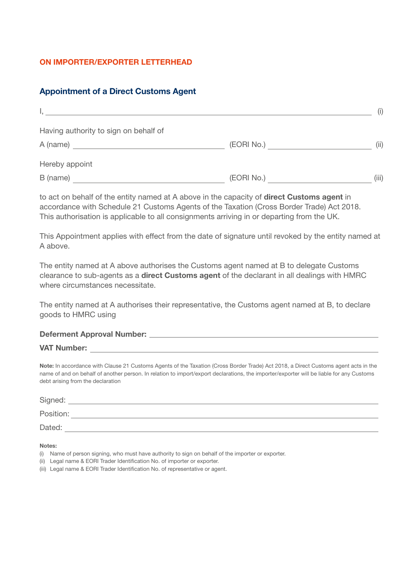#### ON IMPORTER/EXPORTER LETTERHEAD

## Appointment of a Direct Customs Agent

|                                                                                                                                                                                                                                |            | (i)   |
|--------------------------------------------------------------------------------------------------------------------------------------------------------------------------------------------------------------------------------|------------|-------|
| Having authority to sign on behalf of                                                                                                                                                                                          |            |       |
| A (name) example and the set of the set of the set of the set of the set of the set of the set of the set of the set of the set of the set of the set of the set of the set of the set of the set of the set of the set of the | (EORI No.) | (iii) |
| Hereby appoint                                                                                                                                                                                                                 |            |       |
| B (name)                                                                                                                                                                                                                       | (EORI No.) | (iii) |

to act on behalf of the entity named at A above in the capacity of **direct Customs agent** in accordance with Schedule 21 Customs Agents of the Taxation (Cross Border Trade) Act 2018. This authorisation is applicable to all consignments arriving in or departing from the UK.

This Appointment applies with effect from the date of signature until revoked by the entity named at A above.

The entity named at A above authorises the Customs agent named at B to delegate Customs clearance to sub-agents as a direct Customs agent of the declarant in all dealings with HMRC where circumstances necessitate.

The entity named at A authorises their representative, the Customs agent named at B, to declare goods to HMRC using

| <b>Deferment Approval Number:</b> |  |
|-----------------------------------|--|
|                                   |  |

#### VAT Number:

Note: In accordance with Clause 21 Customs Agents of the Taxation (Cross Border Trade) Act 2018, a Direct Customs agent acts in the name of and on behalf of another person. In relation to import/export declarations, the importer/exporter will be liable for any Customs debt arising from the declaration

| Signed:   |  |
|-----------|--|
| Position: |  |
| Dated:    |  |

#### Notes:

- (ii) Legal name & EORI Trader Identification No. of importer or exporter.
- (iii) Legal name & EORI Trader Identification No. of representative or agent.

<sup>(</sup>i) Name of person signing, who must have authority to sign on behalf of the importer or exporter.